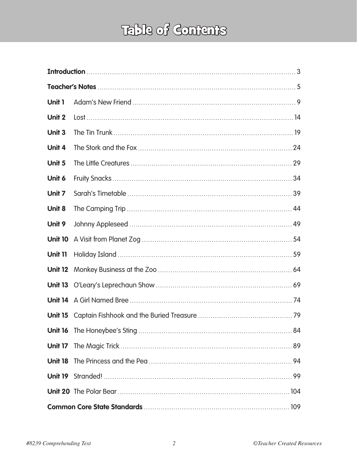## Table of Contents

| Unit 1         |  |  |  |  |  |
|----------------|--|--|--|--|--|
| Unit 2         |  |  |  |  |  |
| Unit 3         |  |  |  |  |  |
| Unit 4         |  |  |  |  |  |
| Unit 5         |  |  |  |  |  |
| Unit 6         |  |  |  |  |  |
| Unit 7         |  |  |  |  |  |
| Unit 8         |  |  |  |  |  |
| Unit 9         |  |  |  |  |  |
| <b>Unit 10</b> |  |  |  |  |  |
| <b>Unit 11</b> |  |  |  |  |  |
| <b>Unit 12</b> |  |  |  |  |  |
|                |  |  |  |  |  |
|                |  |  |  |  |  |
| <b>Unit 15</b> |  |  |  |  |  |
|                |  |  |  |  |  |
|                |  |  |  |  |  |
|                |  |  |  |  |  |
|                |  |  |  |  |  |
|                |  |  |  |  |  |
|                |  |  |  |  |  |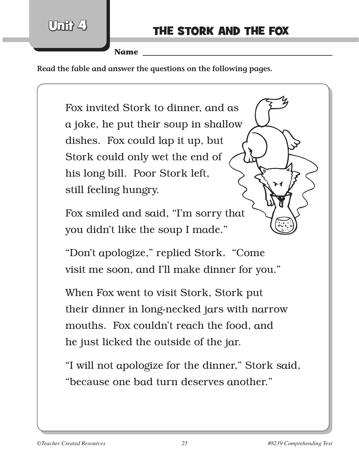$[0]$ nit 4

**Name** 

**Read the fable and answer the questions on the following pages.**

Fox invited Stork to dinner, and as a joke, he put their soup in shallow dishes. Fox could lap it up, but Stork could only wet the end of his long bill. Poor Stork left, still feeling hungry.

Fox smiled and said, "I'm sorry that you didn't like the soup I made."

"Don't apologize," replied Stork. "Come visit me soon, and I'll make dinner for you."

When Fox went to visit Stork, Stork put their dinner in long-necked jars with narrow mouths. Fox couldn't reach the food, and he just licked the outside of the jar.

"I will not apologize for the dinner," Stork said, "because one bad turn deserves another."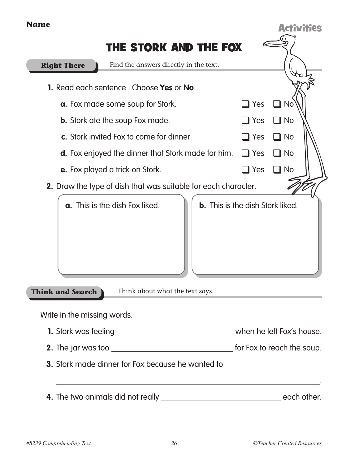| <b>Name</b>                                                                                |                                         | <b>Activities</b> |  |
|--------------------------------------------------------------------------------------------|-----------------------------------------|-------------------|--|
| THE STORK AND THE FOX                                                                      |                                         |                   |  |
| Find the answers directly in the text.<br><b>Right There</b>                               |                                         |                   |  |
| <b>1.</b> Read each sentence. Choose Yes or No.<br><b>a.</b> Fox made some soup for Stork. | $\Box$ Yes                              | $\square$ No      |  |
| <b>b.</b> Stork ate the soup Fox made.                                                     | $\Box$ Yes                              | $\square$ No      |  |
| c. Stork invited Fox to come for dinner.                                                   | $\Box$ Yes                              | $\Box$ No         |  |
| <b>d.</b> Fox enjoyed the dinner that Stork made for him.                                  | $\Box$ Yes                              | $\square$ No      |  |
| <b>e.</b> Fox played a trick on Stork.                                                     | $\blacksquare$ Yes                      | $\blacksquare$ No |  |
| <b>2.</b> Draw the type of dish that was suitable for each character.                      |                                         |                   |  |
| <b>a.</b> This is the dish Fox liked.                                                      | <b>b.</b> This is the dish Stork liked. |                   |  |
| Think about what the text says.<br><b>Think and Search</b>                                 |                                         |                   |  |
| Write in the missing words.                                                                |                                         |                   |  |
|                                                                                            |                                         |                   |  |
|                                                                                            |                                         |                   |  |
| 3. Stork made dinner for Fox because he wanted to ______________________________           |                                         |                   |  |
| ,我们也不能在这里的时候,我们也不能在这里的时候,我们也不能会在这里的时候,我们也不能会在这里的时候,我们也不能会在这里的时候,我们也不能会在这里的时候,我们也           |                                         |                   |  |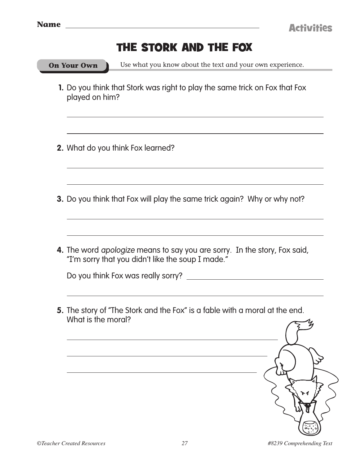| <b>Name</b>        | <b>Activities</b>                                                                                                              |  |
|--------------------|--------------------------------------------------------------------------------------------------------------------------------|--|
|                    | THE STORK AND THE FOX                                                                                                          |  |
| <b>On Your Own</b> | Use what you know about the text and your own experience.                                                                      |  |
| played on him?     | 1. Do you think that Stork was right to play the same trick on Fox that Fox                                                    |  |
|                    | 2. What do you think Fox learned?                                                                                              |  |
|                    | 3. Do you think that Fox will play the same trick again? Why or why not?                                                       |  |
|                    | 4. The word apologize means to say you are sorry. In the story, Fox said,<br>"I'm sorry that you didn't like the soup I made." |  |
|                    | Do you think Fox was really sorry?                                                                                             |  |
| What is the moral? | 5. The story of "The Stork and the Fox" is a fable with a moral at the end.                                                    |  |
|                    |                                                                                                                                |  |
|                    |                                                                                                                                |  |